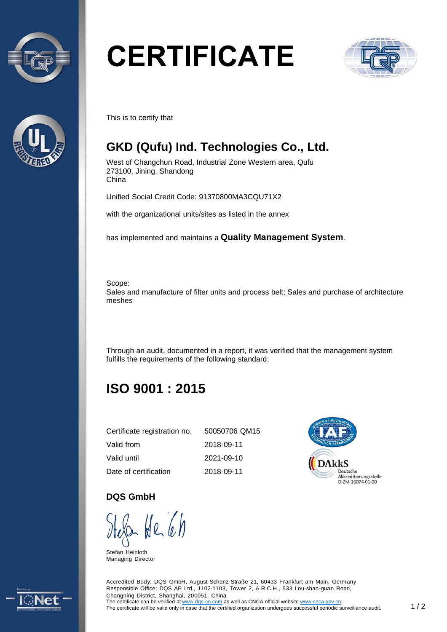



# **CERTIFICATE**



This is to certify that

## **GKD (Qufu) Ind. Technologies Co., Ltd.**

West of Changchun Road, Industrial Zone Western area, Qufu 273100, Jining, Shandong China

Unified Social Credit Code: 91370800MA3CQU71X2

with the organizational units/sites as listed in the annex

has implemented and maintains a **Quality Management System**.

Scope:

Sales and manufacture of filter units and process belt; Sales and purchase of architecture meshes

Through an audit, documented in a report, it was verified that the management system fulfills the requirements of the following standard:

# **ISO 9001 : 2015**

| Certificate registration no. | 50050706 QM15 |
|------------------------------|---------------|
| Valid from                   | 2018-09-11    |
| Valid until                  | 2021-09-10    |
| Date of certification        | 2018-09-11    |



#### **DQS GmbH**

U<br>Stefan Heinloth

Managing Director

Accredited Body: DQS GmbH, August-Schanz-Straße 21, 60433 Frankfurt am Main, Germany Responsible Office: DQS AP Ltd., 1102-1103, Tower 2, A.R.C.H., 533 Lou-shan-guan Road, Changning District, Shanghai, 200051, China The certificate can be verified at www.dqs-cn.com as well as CNCA official website www.cnca.gov.cn. The certificate will be valid only in case that the certified organization undergoes successful periodic surveillance audit. 1 / 2